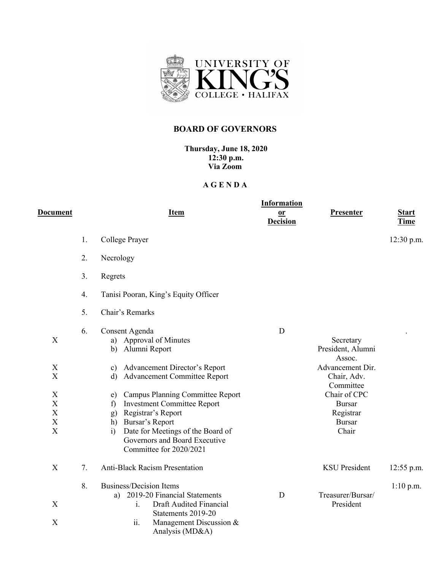

## **BOARD OF GOVERNORS**

**Thursday, June 18, 2020 12:30 p.m. Via Zoom**

## **A G E N D A**

| <b>Document</b>                                                        |    | <u>Item</u>                                                                                                                                                                                                                                                                                                                                                                                                       | <b>Information</b><br>$or$<br><b>Decision</b> | <b>Presenter</b>                                                                                                                                                 | <b>Start</b><br><b>Time</b> |
|------------------------------------------------------------------------|----|-------------------------------------------------------------------------------------------------------------------------------------------------------------------------------------------------------------------------------------------------------------------------------------------------------------------------------------------------------------------------------------------------------------------|-----------------------------------------------|------------------------------------------------------------------------------------------------------------------------------------------------------------------|-----------------------------|
|                                                                        | 1. | College Prayer                                                                                                                                                                                                                                                                                                                                                                                                    |                                               |                                                                                                                                                                  | $12:30$ p.m.                |
|                                                                        | 2. | Necrology                                                                                                                                                                                                                                                                                                                                                                                                         |                                               |                                                                                                                                                                  |                             |
|                                                                        | 3. | Regrets                                                                                                                                                                                                                                                                                                                                                                                                           |                                               |                                                                                                                                                                  |                             |
|                                                                        | 4. | Tanisi Pooran, King's Equity Officer                                                                                                                                                                                                                                                                                                                                                                              |                                               |                                                                                                                                                                  |                             |
|                                                                        | 5. | Chair's Remarks                                                                                                                                                                                                                                                                                                                                                                                                   |                                               |                                                                                                                                                                  |                             |
| X<br>X<br>$\boldsymbol{\mathrm{X}}$<br>X<br>X<br>X<br>$\mathbf X$<br>X | 6. | Consent Agenda<br>a) Approval of Minutes<br>Alumni Report<br>b)<br>c) Advancement Director's Report<br><b>Advancement Committee Report</b><br>d)<br><b>Campus Planning Committee Report</b><br>e)<br><b>Investment Committee Report</b><br>f)<br>Registrar's Report<br>g)<br>Bursar's Report<br>h)<br>Date for Meetings of the Board of<br>$\ddot{1}$<br>Governors and Board Executive<br>Committee for 2020/2021 | D                                             | Secretary<br>President, Alumni<br>Assoc.<br>Advancement Dir.<br>Chair, Adv.<br>Committee<br>Chair of CPC<br><b>Bursar</b><br>Registrar<br><b>Bursar</b><br>Chair |                             |
| X                                                                      | 7. | <b>Anti-Black Racism Presentation</b>                                                                                                                                                                                                                                                                                                                                                                             |                                               | <b>KSU</b> President                                                                                                                                             | $12:55$ p.m.                |
| $\boldsymbol{\mathrm{X}}$<br>X                                         | 8. | <b>Business/Decision Items</b><br>2019-20 Financial Statements<br>a)<br>Draft Audited Financial<br>$\mathbf{i}$ .<br>Statements 2019-20<br>Management Discussion &<br>ii.                                                                                                                                                                                                                                         | D                                             | Treasurer/Bursar/<br>President                                                                                                                                   | $1:10$ p.m.                 |
|                                                                        |    | Analysis (MD&A)                                                                                                                                                                                                                                                                                                                                                                                                   |                                               |                                                                                                                                                                  |                             |